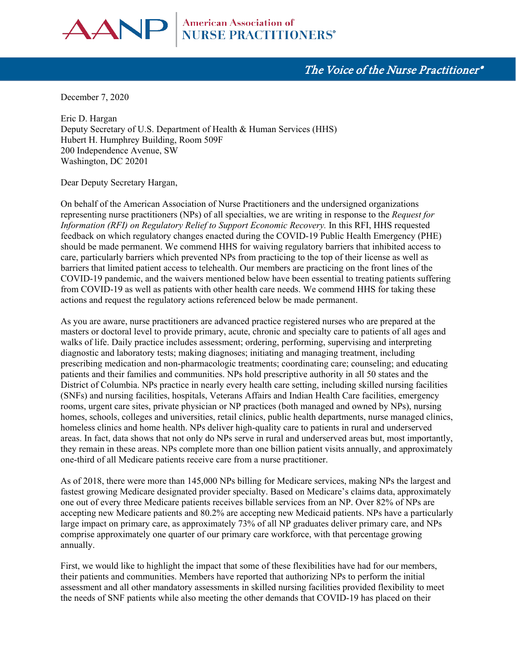

# The Voice of the Nurse Practitioner®

December 7, 2020

Eric D. Hargan Deputy Secretary of U.S. Department of Health & Human Services (HHS) Hubert H. Humphrey Building, Room 509F 200 Independence Avenue, SW Washington, DC 20201

Dear Deputy Secretary Hargan,

On behalf of the American Association of Nurse Practitioners and the undersigned organizations representing nurse practitioners (NPs) of all specialties, we are writing in response to the *Request for Information (RFI) on Regulatory Relief to Support Economic Recovery.* In this RFI, HHS requested feedback on which regulatory changes enacted during the COVID-19 Public Health Emergency (PHE) should be made permanent. We commend HHS for waiving regulatory barriers that inhibited access to care, particularly barriers which prevented NPs from practicing to the top of their license as well as barriers that limited patient access to telehealth. Our members are practicing on the front lines of the COVID-19 pandemic, and the waivers mentioned below have been essential to treating patients suffering from COVID-19 as well as patients with other health care needs. We commend HHS for taking these actions and request the regulatory actions referenced below be made permanent.

As you are aware, nurse practitioners are advanced practice registered nurses who are prepared at the masters or doctoral level to provide primary, acute, chronic and specialty care to patients of all ages and walks of life. Daily practice includes assessment; ordering, performing, supervising and interpreting diagnostic and laboratory tests; making diagnoses; initiating and managing treatment, including prescribing medication and non-pharmacologic treatments; coordinating care; counseling; and educating patients and their families and communities. NPs hold prescriptive authority in all 50 states and the District of Columbia. NPs practice in nearly every health care setting, including skilled nursing facilities (SNFs) and nursing facilities, hospitals, Veterans Affairs and Indian Health Care facilities, emergency rooms, urgent care sites, private physician or NP practices (both managed and owned by NPs), nursing homes, schools, colleges and universities, retail clinics, public health departments, nurse managed clinics, homeless clinics and home health. NPs deliver high-quality care to patients in rural and underserved areas. In fact, data shows that not only do NPs serve in rural and underserved areas but, most importantly, they remain in these areas. NPs complete more than one billion patient visits annually, and approximately one-third of all Medicare patients receive care from a nurse practitioner.

As of 2018, there were more than 145,000 NPs billing for Medicare services, making NPs the largest and fastest growing Medicare designated provider specialty. Based on Medicare's claims data, approximately one out of every three Medicare patients receives billable services from an NP. Over 82% of NPs are accepting new Medicare patients and 80.2% are accepting new Medicaid patients. NPs have a particularly large impact on primary care, as approximately 73% of all NP graduates deliver primary care, and NPs comprise approximately one quarter of our primary care workforce, with that percentage growing annually.

First, we would like to highlight the impact that some of these flexibilities have had for our members, their patients and communities. Members have reported that authorizing NPs to perform the initial assessment and all other mandatory assessments in skilled nursing facilities provided flexibility to meet the needs of SNF patients while also meeting the other demands that COVID-19 has placed on their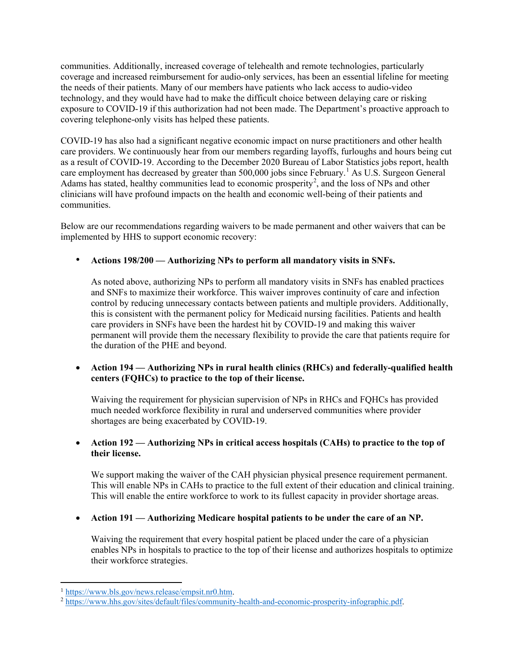communities. Additionally, increased coverage of telehealth and remote technologies, particularly coverage and increased reimbursement for audio-only services, has been an essential lifeline for meeting the needs of their patients. Many of our members have patients who lack access to audio-video technology, and they would have had to make the difficult choice between delaying care or risking exposure to COVID-19 if this authorization had not been made. The Department's proactive approach to covering telephone-only visits has helped these patients.

COVID-19 has also had a significant negative economic impact on nurse practitioners and other health care providers. We continuously hear from our members regarding layoffs, furloughs and hours being cut as a result of COVID-19. According to the December 2020 Bureau of Labor Statistics jobs report, health care employment has decreased by greater than 500,000 jobs since February.<sup>[1](#page-1-0)</sup> As U.S. Surgeon General Adams has stated, healthy communities lead to economic prosperity<sup>[2](#page-1-1)</sup>, and the loss of NPs and other clinicians will have profound impacts on the health and economic well-being of their patients and communities.

Below are our recommendations regarding waivers to be made permanent and other waivers that can be implemented by HHS to support economic recovery:

## • **Actions 198/200 — Authorizing NPs to perform all mandatory visits in SNFs.**

As noted above, authorizing NPs to perform all mandatory visits in SNFs has enabled practices and SNFs to maximize their workforce. This waiver improves continuity of care and infection control by reducing unnecessary contacts between patients and multiple providers. Additionally, this is consistent with the permanent policy for Medicaid nursing facilities. Patients and health care providers in SNFs have been the hardest hit by COVID-19 and making this waiver permanent will provide them the necessary flexibility to provide the care that patients require for the duration of the PHE and beyond.

## • **Action 194 — Authorizing NPs in rural health clinics (RHCs) and federally-qualified health centers (FQHCs) to practice to the top of their license.**

Waiving the requirement for physician supervision of NPs in RHCs and FQHCs has provided much needed workforce flexibility in rural and underserved communities where provider shortages are being exacerbated by COVID-19.

## • **Action 192 — Authorizing NPs in critical access hospitals (CAHs) to practice to the top of their license.**

We support making the waiver of the CAH physician physical presence requirement permanent. This will enable NPs in CAHs to practice to the full extent of their education and clinical training. This will enable the entire workforce to work to its fullest capacity in provider shortage areas.

#### • **Action 191 — Authorizing Medicare hospital patients to be under the care of an NP.**

Waiving the requirement that every hospital patient be placed under the care of a physician enables NPs in hospitals to practice to the top of their license and authorizes hospitals to optimize their workforce strategies.

<span id="page-1-0"></span><sup>&</sup>lt;sup>1</sup> [https://www.bls.gov/news.release/empsit.nr0.htm.](https://www.bls.gov/news.release/empsit.nr0.htm)

<span id="page-1-1"></span><sup>2</sup> [https://www.hhs.gov/sites/default/files/community-health-and-economic-prosperity-infographic.pdf.](https://www.hhs.gov/sites/default/files/community-health-and-economic-prosperity-infographic.pdf)